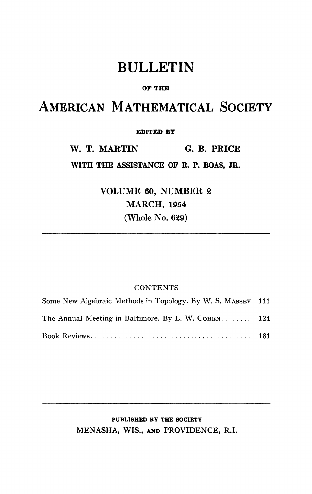## BULLETIN

#### **OF THE**

# AMERICAN MATHEMATICAL SOCIETY

#### **EDITED BT**

**W. T. MARTIN G. B. PRICE** 

**WITH THE ASSISTANCE OF R. P. BOAS, JR.** 

**VOLUME 60, NUMBER** *%*  **MARCH, 1954 (Whole No. 629)** 

### **CONTENTS**

| Some New Algebraic Methods in Topology. By W. S. MASSEY 111 |  |
|-------------------------------------------------------------|--|
| The Annual Meeting in Baltimore. By L. W. COHEN 124         |  |
|                                                             |  |

### **PUBLISHED BY THE SOCIETY**  MENASHA, **WIS., AND** PROVIDENCE, R.I.